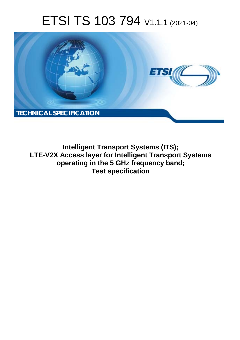# ETSI TS 103 794 V1.1.1 (2021-04)



**Intelligent Transport Systems (ITS); LTE-V2X Access layer for Intelligent Transport Systems operating in the 5 GHz frequency band; Test specification**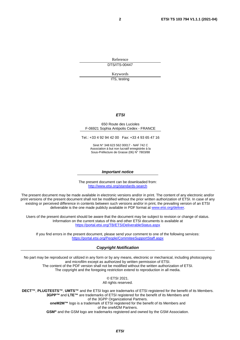Reference DTS/ITS-00447

Keywords

ITS, testing

#### *ETSI*

#### 650 Route des Lucioles F-06921 Sophia Antipolis Cedex - FRANCE

Tel.: +33 4 92 94 42 00 Fax: +33 4 93 65 47 16

Siret N° 348 623 562 00017 - NAF 742 C Association à but non lucratif enregistrée à la Sous-Préfecture de Grasse (06) N° 7803/88

#### *Important notice*

The present document can be downloaded from: <http://www.etsi.org/standards-search>

The present document may be made available in electronic versions and/or in print. The content of any electronic and/or print versions of the present document shall not be modified without the prior written authorization of ETSI. In case of any existing or perceived difference in contents between such versions and/or in print, the prevailing version of an ETSI deliverable is the one made publicly available in PDF format at [www.etsi.org/deliver](http://www.etsi.org/deliver).

Users of the present document should be aware that the document may be subject to revision or change of status. Information on the current status of this and other ETSI documents is available at <https://portal.etsi.org/TB/ETSIDeliverableStatus.aspx>

If you find errors in the present document, please send your comment to one of the following services: <https://portal.etsi.org/People/CommiteeSupportStaff.aspx>

#### *Copyright Notification*

No part may be reproduced or utilized in any form or by any means, electronic or mechanical, including photocopying and microfilm except as authorized by written permission of ETSI. The content of the PDF version shall not be modified without the written authorization of ETSI. The copyright and the foregoing restriction extend to reproduction in all media.

> © ETSI 2021. All rights reserved.

**DECT™**, **PLUGTESTS™**, **UMTS™** and the ETSI logo are trademarks of ETSI registered for the benefit of its Members. **3GPP™** and **LTE™** are trademarks of ETSI registered for the benefit of its Members and of the 3GPP Organizational Partners. **oneM2M™** logo is a trademark of ETSI registered for the benefit of its Members and of the oneM2M Partners. **GSM®** and the GSM logo are trademarks registered and owned by the GSM Association.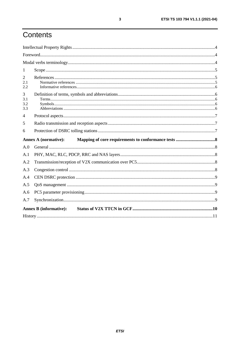# Contents

| 1                      |                               |  |
|------------------------|-------------------------------|--|
| 2<br>2.1<br>2.2        |                               |  |
| 3<br>3.1<br>3.2<br>3.3 |                               |  |
| 4                      |                               |  |
| 5                      |                               |  |
| 6                      |                               |  |
|                        | <b>Annex A (normative):</b>   |  |
|                        |                               |  |
| A.0                    |                               |  |
| A.1                    |                               |  |
| A.2                    |                               |  |
| A.3                    |                               |  |
| A.4                    |                               |  |
| A.5                    |                               |  |
| A.6                    |                               |  |
| A.7                    |                               |  |
|                        | <b>Annex B</b> (informative): |  |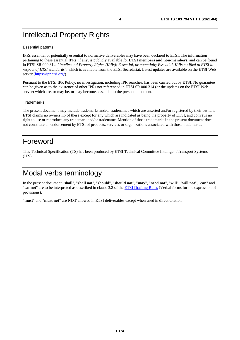# <span id="page-3-0"></span>Intellectual Property Rights

#### Essential patents

IPRs essential or potentially essential to normative deliverables may have been declared to ETSI. The information pertaining to these essential IPRs, if any, is publicly available for **ETSI members and non-members**, and can be found in ETSI SR 000 314: *"Intellectual Property Rights (IPRs); Essential, or potentially Essential, IPRs notified to ETSI in respect of ETSI standards"*, which is available from the ETSI Secretariat. Latest updates are available on the ETSI Web server (<https://ipr.etsi.org/>).

Pursuant to the ETSI IPR Policy, no investigation, including IPR searches, has been carried out by ETSI. No guarantee can be given as to the existence of other IPRs not referenced in ETSI SR 000 314 (or the updates on the ETSI Web server) which are, or may be, or may become, essential to the present document.

#### **Trademarks**

The present document may include trademarks and/or tradenames which are asserted and/or registered by their owners. ETSI claims no ownership of these except for any which are indicated as being the property of ETSI, and conveys no right to use or reproduce any trademark and/or tradename. Mention of those trademarks in the present document does not constitute an endorsement by ETSI of products, services or organizations associated with those trademarks.

### Foreword

This Technical Specification (TS) has been produced by ETSI Technical Committee Intelligent Transport Systems (ITS).

### Modal verbs terminology

In the present document "**shall**", "**shall not**", "**should**", "**should not**", "**may**", "**need not**", "**will**", "**will not**", "**can**" and "**cannot**" are to be interpreted as described in clause 3.2 of the [ETSI Drafting Rules](https://portal.etsi.org/Services/editHelp!/Howtostart/ETSIDraftingRules.aspx) (Verbal forms for the expression of provisions).

"**must**" and "**must not**" are **NOT** allowed in ETSI deliverables except when used in direct citation.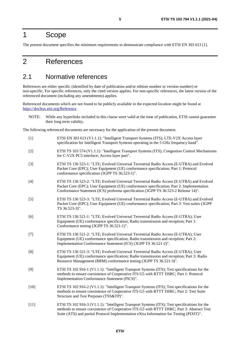### <span id="page-4-0"></span>1 Scope

The present document specifies the minimum requirements to demonstrate compliance with ETSI EN 303 613 [1].

### 2 References

### 2.1 Normative references

References are either specific (identified by date of publication and/or edition number or version number) or non-specific. For specific references, only the cited version applies. For non-specific references, the latest version of the referenced document (including any amendments) applies.

Referenced documents which are not found to be publicly available in the expected location might be found at <https://docbox.etsi.org/Reference>.

NOTE: While any hyperlinks included in this clause were valid at the time of publication, ETSI cannot guarantee their long term validity.

The following referenced documents are necessary for the application of the present document.

| $[1]$  | ETSI EN 303 613 (V1.1.1): "Intelligent Transport Systems (ITS); LTE-V2X Access layer<br>specification for Intelligent Transport Systems operating in the 5 GHz frequency band".                                                                                                       |
|--------|---------------------------------------------------------------------------------------------------------------------------------------------------------------------------------------------------------------------------------------------------------------------------------------|
| $[2]$  | ETSI TS 103 574 (V1.1.1): "Intelligent Transport Systems (ITS); Congestion Control Mechanisms<br>for C-V2X PC5 interface; Access layer part".                                                                                                                                         |
| $[3]$  | ETSI TS 136 523-1: "LTE; Evolved Universal Terrestrial Radio Access (E-UTRA) and Evolved<br>Packet Core (EPC); User Equipment (UE) conformance specification; Part 1: Protocol<br>conformance specification (3GPP TS 36.523-1)".                                                      |
| $[4]$  | ETSI TS 136 523-2: "LTE; Evolved Universal Terrestrial Radio Access (E-UTRA) and Evolved<br>Packet Core (EPC); User Equipment (UE) conformance specification; Part 2: Implementation<br>Conformance Statement (ICS) proforma specification (3GPP TS 36.523-2 Release 14)".            |
| $[5]$  | ETSI TS 136 523-3: "LTE; Evolved Universal Terrestrial Radio Access (E-UTRA) and Evolved<br>Packet Core (EPC); User Equipment (UE) conformance specification; Part 3: Test suites (3GPP<br>TS 36.523-3)".                                                                             |
| [6]    | ETSI TS 136 521-1: "LTE; Evolved Universal Terrestrial Radio Access (E-UTRA); User<br>Equipment (UE) conformance specification; Radio transmission and reception; Part 1:<br>Conformance testing (3GPP TS 36.521-1)".                                                                 |
| $[7]$  | ETSI TS 136 521-2: "LTE; Evolved Universal Terrestrial Radio Access (E-UTRA); User<br>Equipment (UE) conformance specification; Radio transmission and reception; Part 2:<br>Implementation Conformance Statement (ICS) (3GPP TS 36.521-2)".                                          |
| [8]    | ETSI TS 136 521-3: "LTE; Evolved Universal Terrestrial Radio Access (E-UTRA); User<br>Equipment (UE) conformance specification; Radio transmission and reception; Part 3: Radio<br>Resource Management (RRM) conformance testing (3GPP TS 36.521-3)".                                 |
| [9]    | ETSI TS 102 916-1 (V1.1.1): "Intelligent Transport Systems (ITS); Test specifications for the<br>methods to ensure coexistence of Cooperative ITS G5 with RTTT DSRC; Part 1: Protocol<br>Implementation Conformance Statement (PICS)".                                                |
| $[10]$ | ETSI TS 102 916-2 (V1.1.1): "Intelligent Transport Systems (ITS); Test specifications for the<br>methods to ensure coexistence of Cooperative ITS G5 with RTTT DSRC; Part 2: Test Suite<br>Structure and Test Purposes (TSS&TP)".                                                     |
| $[11]$ | ETSI TS 102 916-3 (V1.1.1): "Intelligent Transport Systems (ITS); Test specifications for the<br>methods to ensure coexistence of Cooperative ITS G5 with RTTT DSRC; Part 3: Abstract Test<br>Suite (ATS) and partial Protocol Implementation eXtra Information for Testing (PIXIT)". |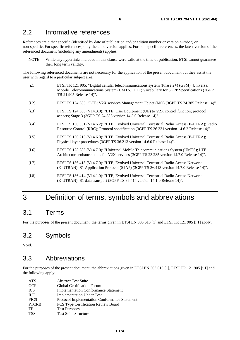### <span id="page-5-0"></span>2.2 Informative references

References are either specific (identified by date of publication and/or edition number or version number) or non-specific. For specific references, only the cited version applies. For non-specific references, the latest version of the referenced document (including any amendments) applies.

NOTE: While any hyperlinks included in this clause were valid at the time of publication, ETSI cannot guarantee their long term validity.

The following referenced documents are not necessary for the application of the present document but they assist the user with regard to a particular subject area.

- [i.1] ETSI TR 121 905: "Digital cellular telecommunications system (Phase 2+) (GSM); Universal Mobile Telecommunications System (UMTS); LTE; Vocabulary for 3GPP Specifications (3GPP TR 21.905 Release 14)".
- [i.2] ETSI TS 124 385: "LTE; V2X services Management Object (MO) (3GPP TS 24.385 Release 14)".
- [i.3] ETSI TS 124 386 (V14.3.0): "LTE; User Equipment (UE) to V2X control function; protocol aspects; Stage 3 (3GPP TS 24.386 version 14.3.0 Release 14)".
- [i.4] ETSI TS 136 331 (V14.6.2): "LTE; Evolved Universal Terrestrial Radio Access (E-UTRA); Radio Resource Control (RRC); Protocol specification (3GPP TS 36.331 version 14.6.2 Release 14)".
- [i.5] ETSI TS 136 213 (V14.6.0): "LTE; Evolved Universal Terrestrial Radio Access (E-UTRA); Physical layer procedures (3GPP TS 36.213 version 14.6.0 Release 14)".
- [i.6] ETSI TS 123 285 (V14.7.0): "Universal Mobile Telecommunications System (UMTS); LTE; Architecture enhancements for V2X services (3GPP TS 23.285 version 14.7.0 Release 14)".
- [i.7] ETSI TS 136 413 (V14.7.0): "LTE; Evolved Universal Terrestrial Radio Access Network (E-UTRAN); S1 Application Protocol (S1AP) (3GPP TS 36.413 version 14.7.0 Release 14)".
- [i.8] ETSI TS 136 414 (V14.1.0): "LTE; Evolved Universal Terrestrial Radio Access Network (E-UTRAN); S1 data transport (3GPP TS 36.414 version 14.1.0 Release 14)".

### 3 Definition of terms, symbols and abbreviations

### 3.1 Terms

For the purposes of the present document, the terms given in ETSI EN 303 613 [\[1](#page-4-0)] and ETSI TR 121 905 [i.1] apply.

### 3.2 Symbols

Void.

### 3.3 Abbreviations

For the purposes of the present document, the abbreviations given in ETSI EN 303 613 [\[1](#page-4-0)], ETSI TR 121 905 [i.1] and the following apply:

| <b>ATS</b>   | <b>Abstract Test Suite</b>                    |
|--------------|-----------------------------------------------|
| <b>GCF</b>   | Global Certification Forum                    |
| <b>ICS</b>   | <b>Implementation Conformance Statement</b>   |
| <b>IUT</b>   | <b>Implementation Under Test</b>              |
| <b>PICS</b>  | Protocol Implementation Conformance Statement |
| <b>PTCRB</b> | <b>PCS Type Certification Review Board</b>    |
| TP           | <b>Test Purposes</b>                          |
| <b>TSS</b>   | <b>Test Suite Structure</b>                   |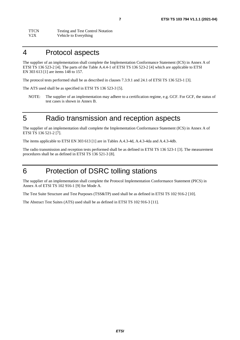### <span id="page-6-0"></span>4 Protocol aspects

The supplier of an implementation shall complete the Implementation Conformance Statement (ICS) in Annex A of ETSI TS 136 523-2 [\[4](#page-4-0)]. The parts of the Table A.4.4-1 of ETSI TS 136 523-2 [\[4](#page-4-0)] which are applicable to ETSI EN 303 613 [[1](#page-4-0)] are items 148 to 157.

The protocol tests performed shall be as described in clauses 7.3.9.1 and 24.1 of ETSI TS 136 523-1 [\[3](#page-4-0)].

The ATS used shall be as specified in ETSI TS 136 523-3 [\[5](#page-4-0)].

NOTE: The supplier of an implementation may adhere to a certification regime, e.g. GCF. For GCF, the status of test cases is shown in Annex B.

### 5 Radio transmission and reception aspects

The supplier of an implementation shall complete the Implementation Conformance Statement (ICS) in Annex A of ETSI TS 136 521-2 [\[7](#page-4-0)].

The items applicable to ETSI EN 303 613 [[1\]](#page-4-0) are in Tables A.4.3-4d, A.4.3-4da and A.4.3-4db.

The radio transmission and reception tests performed shall be as defined in ETSI TS 136 523-1 [\[3](#page-4-0)]. The measurement procedures shall be as defined in ETSI TS 136 521-3 [\[8](#page-4-0)].

### 6 Protection of DSRC tolling stations

The supplier of an implementation shall complete the Protocol Implementation Conformance Statement (PICS) in Annex A of ETSI TS 102 916-1 [\[9](#page-4-0)] for Mode A.

The Test Suite Structure and Test Purposes (TSS&TP) used shall be as defined in ETSI TS 102 916-2 [[10\]](#page-4-0).

The Abstract Test Suites (ATS) used shall be as defined in ETSI TS 102 916-3 [\[11](#page-4-0)].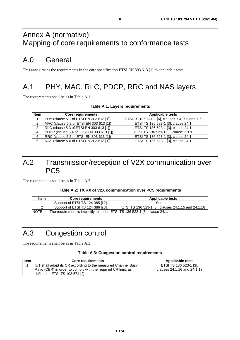# <span id="page-7-0"></span>Annex A (normative): Mapping of core requirements to conformance tests

# A.0 General

This annex maps the requirements in the core specification ETSI EN 303 613 [\[1](#page-4-0)] to applicable tests.

# A.1 PHY, MAC, RLC, PDCP, RRC and NAS layers

The requirements shall be as in Table A.1.

#### **Table A.1: Layers requirements**

| <b>Item</b> | <b>Core requirements</b>                        | <b>Applicable tests</b>                         |
|-------------|-------------------------------------------------|-------------------------------------------------|
|             | PHY (clause 5.1 of ETSI EN 303 613 [1])         | ETSI TS 136 521-1 [6], clauses 7.4, 7.5 and 7.6 |
|             | MAC (clause 5.2 of ETSI EN 303 613 [1])         | ETSI TS 136 523-1 [3], clause 24.1              |
| 3           | <b>RLC (clause 5.3 of ETSI EN 303 613 [1])</b>  | ETSI TS 136 523-1 [3], clause 24.1              |
| $\Lambda$   | <b>PDCP</b> (clause 5.4 of ETSI EN 303 613 [1]) | ETSI TS 136 523-1 [3], clause 7.3.9             |
| 5           | RRC (clause 5.5 of ETSI EN 303 613 [1])         | ETSI TS 136 523-1 [3], clause 24.1              |
| 6           | NAS (clause 5.6 of ETSI EN 303 613 [1])         | ETSI TS 136 523-1 [3], clause 24.1              |

### A.2 Transmission/reception of V2X communication over PC5

The requirements shall be as in Table A.2.

#### **Table A.2: TX/RX of V2X communication over PC5 requirements**

| <b>Item</b> | <b>Core requirements</b>                                                    | <b>Applicable tests</b>                            |
|-------------|-----------------------------------------------------------------------------|----------------------------------------------------|
|             | Support of ETSI TS 124 385 [i.2].                                           | See note                                           |
| ▴           | Support of ETSI TS 124 386 [i.3].                                           | ETSI TS 136 523-1 [3], clauses 24.1.15 and 24.1.18 |
| INOTE:      | The requirement is implicitly tested in ETSI TS 136 523-1 [3], clause 24.1. |                                                    |

# A.3 Congestion control

The requirements shall be as in Table A.3.

#### **Table A.3: Congestion control requirements**

| <b>Item</b> | <b>Core requirements</b>                                             | <b>Applicable tests</b>     |
|-------------|----------------------------------------------------------------------|-----------------------------|
|             | <b>IUT</b> shall adapt its CR according to the measured Channel Busy | ETSI TS 136 523-1 [3].      |
|             | Ratio (CBR) in order to comply with the required CR limit, as        | clauses 24.1.16 and 24.1.19 |
|             | defined in ETSI TS 103 574 [2].                                      |                             |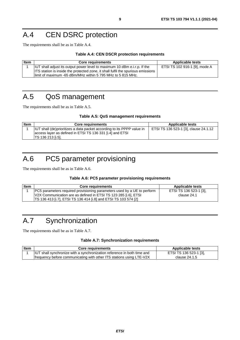# <span id="page-8-0"></span>A.4 CEN DSRC protection

The requirements shall be as in Table A.4.

#### **Table A.4: CEN DSCR protection requirements**

| <b>Item</b> | <b>Core requirements</b>                                                         | <b>Applicable tests</b>       |
|-------------|----------------------------------------------------------------------------------|-------------------------------|
|             | <b>IUT</b> shall adjust its output power level to maximum 10 dBm e.i.r.p. If the | ETSI TS 102 916-1 [9], mode A |
|             | ITS station is inside the protected zone, it shall fulfil the spurious emissions |                               |
|             | llimit of maximum -65 dBm/MHz within 5 795 MHz to 5 815 MHz.                     |                               |

# A.5 QoS management

The requirements shall be as in Table A.5.

#### **Table A.5: QoS management requirements**

| <b>Item</b> | <b>Core requirements</b>                                                                                                                                        | Applicable tests                      |
|-------------|-----------------------------------------------------------------------------------------------------------------------------------------------------------------|---------------------------------------|
|             | IUT shall (de)prioritizes a data packet according to its PPPP value in<br>access layer as defined in ETSI TS 136 331 [i.4] and ETSI<br><b>TS 136 213 [i.5].</b> | ETSI TS 136 523-1 [3], clause 24.1.12 |

# A.6 PC5 parameter provisioning

The requirements shall be as in Table A.6.

#### **Table A.6: PC5 parameter provisioning requirements**

| <b>Item</b> | <b>Core requirements</b>                                                       | <b>Applicable tests</b> |
|-------------|--------------------------------------------------------------------------------|-------------------------|
|             | <b>PC5</b> parameters required provisioning parameters used by a UE to perform | ETSI TS 136 523-1 [3].  |
|             | V2X Communication are as defined in ETSI TS 123 285 [i.6], ETSI                | clause 24.1             |
|             | TS 136 413 [i.7], ETSI TS 136 414 [i.8] and ETSI TS 103 574 [2]                |                         |

# A.7 Synchronization

The requirements shall be as in Table A.7.

#### **Table A.7: Synchronization requirements**

| Item | Core requirements                                                       | <b>Applicable tests</b> |
|------|-------------------------------------------------------------------------|-------------------------|
|      | IUT shall synchronize with a synchronization reference in both time and | ETSI TS 136 523-1 [3],  |
|      | frequency before communicating with other ITS stations using LTE-V2X    | clause 24.1.5           |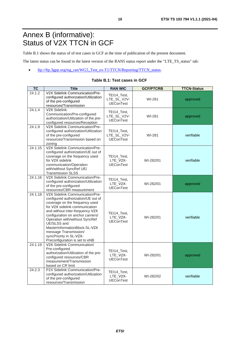# <span id="page-9-0"></span>Annex B (informative): Status of V2X TTCN in GCF

Table B.1 shows the status of of test cases in GCF at the time of publication of the present document.

The latest status can be found in the latest version of the RAN5 status report under the "LTE\_TS\_status" tab:

• [ftp://ftp.3gpp.org/tsg\\_ran/WG5\\_Test\\_ex-T1/TTCN/Reporting/TTCN\\_status](ftp://ftp.3gpp.org/tsg_ran/WG5_Test_ex-T1/TTCN/Reporting/TTCN_status).

| <b>TC</b> | <b>Title</b>                                                                                                                                                                                                                                                                                                                                                                              | <b>RAN WIC</b>                                 | <b>GCF/PTCRB</b> | <b>TTCN-Status</b> |
|-----------|-------------------------------------------------------------------------------------------------------------------------------------------------------------------------------------------------------------------------------------------------------------------------------------------------------------------------------------------------------------------------------------------|------------------------------------------------|------------------|--------------------|
| 24.1.2    | V2X Sidelink Communication/Pre-<br>configured authorization/Utilization<br>of the pre-configured<br>resources/Transmission                                                                                                                                                                                                                                                                | TEI14_Test,<br>LTE_SL_V2V-<br><b>UEConTest</b> | WI-281           | approved           |
| 24.1.4    | V2X Sidelink<br>Communication/Pre-configured<br>authorization/Utilization of the pre-<br>configured resources/Reception                                                                                                                                                                                                                                                                   | TEI14_Test,<br>LTE_SL_V2V-<br><b>UEConTest</b> | WI-281           | approved           |
| 24.1.9    | V2X Sidelink Communication/Pre-<br>configured authorization/Utilization<br>of the pre-configured<br>resources/Transmission based on<br>zoning                                                                                                                                                                                                                                             | TEI14_Test,<br>LTE_SL_V2V-<br><b>UEConTest</b> | WI-281           | verifiable         |
| 24.1.15   | V2X Sidelink Communication/Pre-<br>configured authorization/UE out of<br>coverage on the frequency used<br>for V2X sidelink<br>communication/Operation<br>with/without SyncRef UE/<br><b>Transmission SLSS</b>                                                                                                                                                                            | TEI14_Test,<br>LTE_V2X-<br><b>UEConTest</b>    | WI-282/01        | verifiable         |
| 24.1.16   | V2X Sidelink Communication/Pre-<br>configured authorization/Utilization<br>of the pre-configured<br>resources/CBR measurement                                                                                                                                                                                                                                                             | TEI14_Test,<br>LTE_V2X-<br><b>UEConTest</b>    | WI-282/01        | approved           |
| 24.1.18   | V2X Sidelink Communication/Pre-<br>configured authorization/UE out of<br>coverage on the frequency used<br>for V2X sidelink communication<br>and without inter-frequency V2X<br>configuration on anchor carriers/<br>Operation with/without SyncRef<br>UE/SLSS and<br>MasterInformationBlock-SL-V2X<br>message Transmission/<br>syncPriority in SL-V2X-<br>Preconfiguration is set to eNB | TEI14_Test,<br>LTE_V2X-<br><b>UEConTest</b>    | WI-282/01        | verifiable         |
| 24.1.19   | V2X Sidelink Communication/<br>Pre-configured<br>authorization/Utilization of the pre-<br>configured resources/CBR<br>measurement/Transmission<br>based on CR limit                                                                                                                                                                                                                       | TEI14_Test,<br>LTE V2X-<br><b>UEConTest</b>    | WI-282/01        | approved           |
| 24.2.3    | P2X Sidelink Communication/Pre-<br>configured authorization/Utilization<br>of the pre-configured<br>resources/Transmission                                                                                                                                                                                                                                                                | TEI14_Test,<br>LTE_V2X-<br><b>UEConTest</b>    | WI-282/02        | verifiable         |

#### **Table B.1: Test cases in GCF**